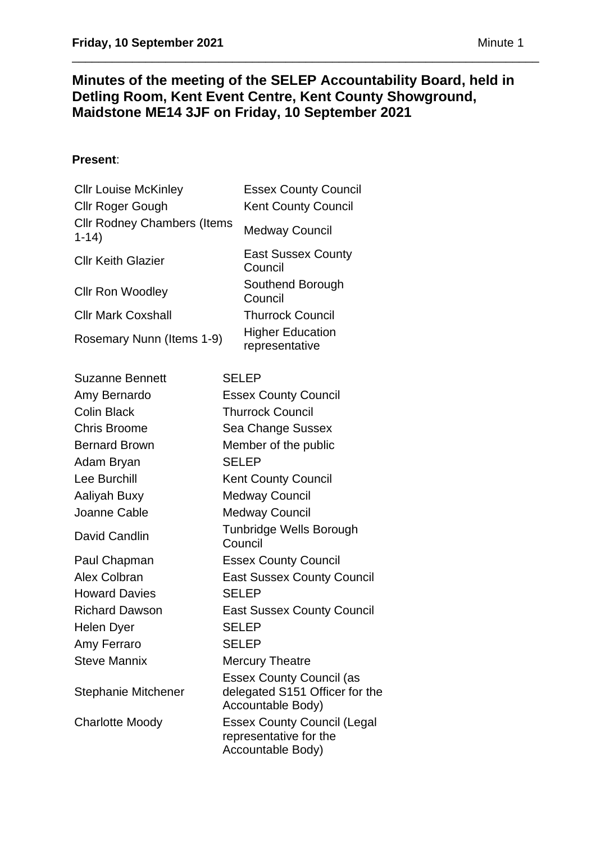# **Minutes of the meeting of the SELEP Accountability Board, held in Detling Room, Kent Event Centre, Kent County Showground, Maidstone ME14 3JF on Friday, 10 September 2021**

\_\_\_\_\_\_\_\_\_\_\_\_\_\_\_\_\_\_\_\_\_\_\_\_\_\_\_\_\_\_\_\_\_\_\_\_\_\_\_\_\_\_\_\_\_\_\_\_\_\_\_\_\_\_\_\_\_\_\_\_\_\_\_\_\_\_\_\_\_\_

## **Present**:

| <b>Cllr Louise McKinley</b><br>Cllr Roger Gough | <b>Essex County Council</b><br><b>Kent County Council</b>                              |
|-------------------------------------------------|----------------------------------------------------------------------------------------|
| <b>Cllr Rodney Chambers (Items</b><br>$1 - 14$  | <b>Medway Council</b>                                                                  |
| <b>Cllr Keith Glazier</b>                       | <b>East Sussex County</b><br>Council                                                   |
| <b>Cllr Ron Woodley</b>                         | Southend Borough<br>Council                                                            |
| <b>Cllr Mark Coxshall</b>                       | <b>Thurrock Council</b>                                                                |
| Rosemary Nunn (Items 1-9)                       | <b>Higher Education</b><br>representative                                              |
| <b>Suzanne Bennett</b>                          | <b>SELEP</b>                                                                           |
| Amy Bernardo                                    | <b>Essex County Council</b>                                                            |
| <b>Colin Black</b>                              | <b>Thurrock Council</b>                                                                |
| <b>Chris Broome</b>                             | Sea Change Sussex                                                                      |
| <b>Bernard Brown</b>                            | Member of the public                                                                   |
| Adam Bryan                                      | <b>SELEP</b>                                                                           |
| Lee Burchill                                    | <b>Kent County Council</b>                                                             |
| Aaliyah Buxy                                    | <b>Medway Council</b>                                                                  |
| Joanne Cable                                    | <b>Medway Council</b>                                                                  |
| David Candlin                                   | <b>Tunbridge Wells Borough</b><br>Council                                              |
| Paul Chapman                                    | <b>Essex County Council</b>                                                            |
| Alex Colbran                                    | <b>East Sussex County Council</b>                                                      |
| <b>Howard Davies</b>                            | <b>SELEP</b>                                                                           |
| <b>Richard Dawson</b>                           | <b>East Sussex County Council</b>                                                      |
| Helen Dyer                                      | <b>SELEP</b>                                                                           |
| Amy Ferraro                                     | <b>SELEP</b>                                                                           |
| <b>Steve Mannix</b>                             | <b>Mercury Theatre</b>                                                                 |
| <b>Stephanie Mitchener</b>                      | <b>Essex County Council (as</b><br>delegated S151 Officer for the<br>Accountable Body) |
| <b>Charlotte Moody</b>                          | <b>Essex County Council (Legal</b><br>representative for the<br>Accountable Body)      |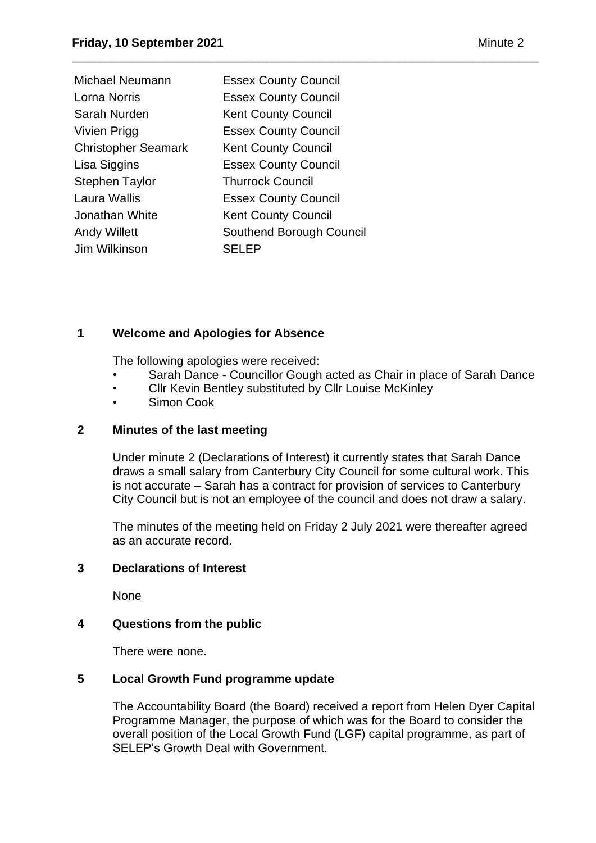| Michael Neumann            | <b>Essex County Council</b> |
|----------------------------|-----------------------------|
| Lorna Norris               | <b>Essex County Council</b> |
| Sarah Nurden               | <b>Kent County Council</b>  |
| Vivien Prigg               | <b>Essex County Council</b> |
| <b>Christopher Seamark</b> | <b>Kent County Council</b>  |
| Lisa Siggins               | <b>Essex County Council</b> |
| Stephen Taylor             | <b>Thurrock Council</b>     |
| Laura Wallis               | <b>Essex County Council</b> |
| Jonathan White             | <b>Kent County Council</b>  |
| <b>Andy Willett</b>        | Southend Borough Council    |
| Jim Wilkinson              | <b>SELEP</b>                |
|                            |                             |

### **1 Welcome and Apologies for Absence**

The following apologies were received:

• Sarah Dance - Councillor Gough acted as Chair in place of Sarah Dance

\_\_\_\_\_\_\_\_\_\_\_\_\_\_\_\_\_\_\_\_\_\_\_\_\_\_\_\_\_\_\_\_\_\_\_\_\_\_\_\_\_\_\_\_\_\_\_\_\_\_\_\_\_\_\_\_\_\_\_\_\_\_\_\_\_\_\_\_\_\_

- Cllr Kevin Bentley substituted by Cllr Louise McKinley
- Simon Cook

### **2 Minutes of the last meeting**

Under minute 2 (Declarations of Interest) it currently states that Sarah Dance draws a small salary from Canterbury City Council for some cultural work. This is not accurate – Sarah has a contract for provision of services to Canterbury City Council but is not an employee of the council and does not draw a salary.

The minutes of the meeting held on Friday 2 July 2021 were thereafter agreed as an accurate record.

### **3 Declarations of Interest**

None

## **4 Questions from the public**

There were none.

### **5 Local Growth Fund programme update**

The Accountability Board (the Board) received a report from Helen Dyer Capital Programme Manager, the purpose of which was for the Board to consider the overall position of the Local Growth Fund (LGF) capital programme, as part of SELEP's Growth Deal with Government.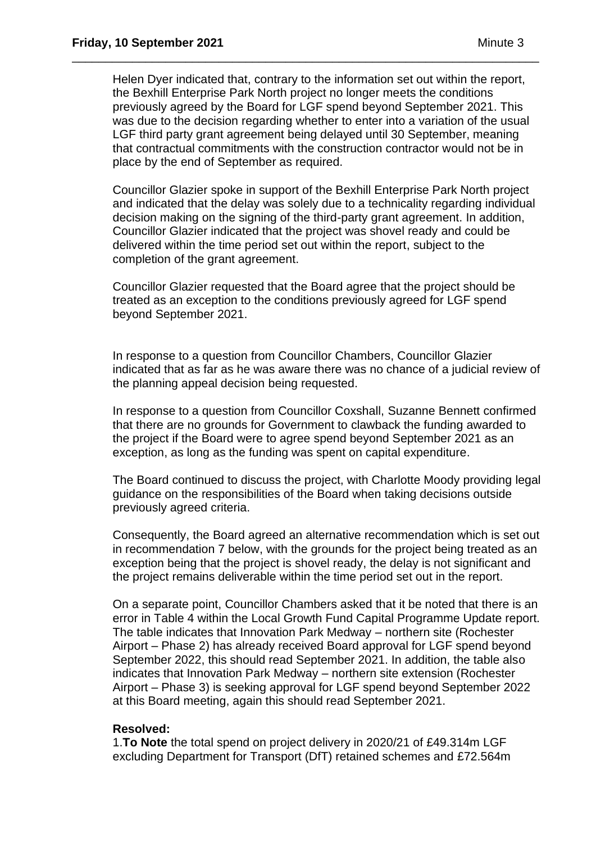Helen Dyer indicated that, contrary to the information set out within the report, the Bexhill Enterprise Park North project no longer meets the conditions previously agreed by the Board for LGF spend beyond September 2021. This was due to the decision regarding whether to enter into a variation of the usual LGF third party grant agreement being delayed until 30 September, meaning that contractual commitments with the construction contractor would not be in place by the end of September as required.

\_\_\_\_\_\_\_\_\_\_\_\_\_\_\_\_\_\_\_\_\_\_\_\_\_\_\_\_\_\_\_\_\_\_\_\_\_\_\_\_\_\_\_\_\_\_\_\_\_\_\_\_\_\_\_\_\_\_\_\_\_\_\_\_\_\_\_\_\_\_

Councillor Glazier spoke in support of the Bexhill Enterprise Park North project and indicated that the delay was solely due to a technicality regarding individual decision making on the signing of the third-party grant agreement. In addition, Councillor Glazier indicated that the project was shovel ready and could be delivered within the time period set out within the report, subject to the completion of the grant agreement.

Councillor Glazier requested that the Board agree that the project should be treated as an exception to the conditions previously agreed for LGF spend beyond September 2021.

In response to a question from Councillor Chambers, Councillor Glazier indicated that as far as he was aware there was no chance of a judicial review of the planning appeal decision being requested.

In response to a question from Councillor Coxshall, Suzanne Bennett confirmed that there are no grounds for Government to clawback the funding awarded to the project if the Board were to agree spend beyond September 2021 as an exception, as long as the funding was spent on capital expenditure.

The Board continued to discuss the project, with Charlotte Moody providing legal guidance on the responsibilities of the Board when taking decisions outside previously agreed criteria.

Consequently, the Board agreed an alternative recommendation which is set out in recommendation 7 below, with the grounds for the project being treated as an exception being that the project is shovel ready, the delay is not significant and the project remains deliverable within the time period set out in the report.

On a separate point, Councillor Chambers asked that it be noted that there is an error in Table 4 within the Local Growth Fund Capital Programme Update report. The table indicates that Innovation Park Medway – northern site (Rochester Airport – Phase 2) has already received Board approval for LGF spend beyond September 2022, this should read September 2021. In addition, the table also indicates that Innovation Park Medway – northern site extension (Rochester Airport – Phase 3) is seeking approval for LGF spend beyond September 2022 at this Board meeting, again this should read September 2021.

### **Resolved:**

1.**To Note** the total spend on project delivery in 2020/21 of £49.314m LGF excluding Department for Transport (DfT) retained schemes and £72.564m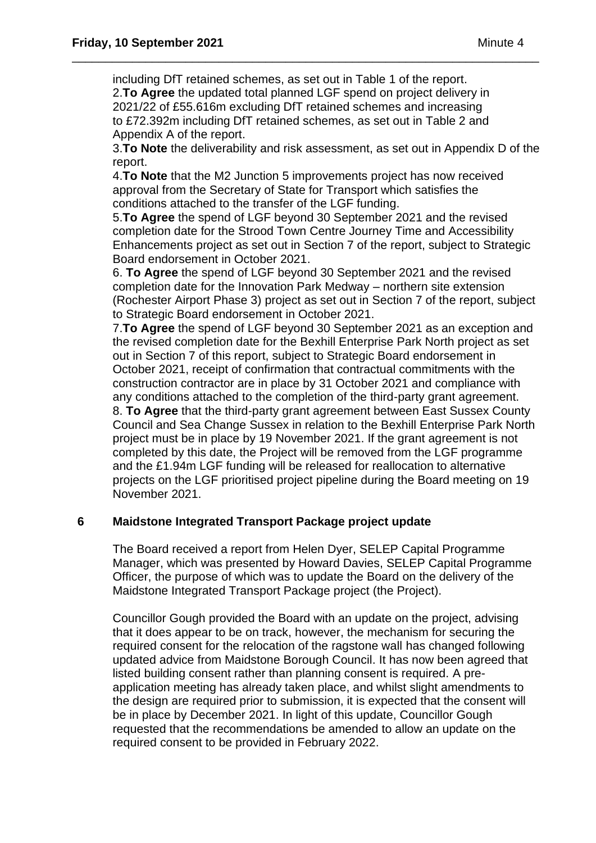including DfT retained schemes, as set out in Table 1 of the report. 2.**To Agree** the updated total planned LGF spend on project delivery in 2021/22 of £55.616m excluding DfT retained schemes and increasing to £72.392m including DfT retained schemes, as set out in Table 2 and Appendix A of the report.

\_\_\_\_\_\_\_\_\_\_\_\_\_\_\_\_\_\_\_\_\_\_\_\_\_\_\_\_\_\_\_\_\_\_\_\_\_\_\_\_\_\_\_\_\_\_\_\_\_\_\_\_\_\_\_\_\_\_\_\_\_\_\_\_\_\_\_\_\_\_

3.**To Note** the deliverability and risk assessment, as set out in Appendix D of the report.

4.**To Note** that the M2 Junction 5 improvements project has now received approval from the Secretary of State for Transport which satisfies the conditions attached to the transfer of the LGF funding.

5.**To Agree** the spend of LGF beyond 30 September 2021 and the revised completion date for the Strood Town Centre Journey Time and Accessibility Enhancements project as set out in Section 7 of the report, subject to Strategic Board endorsement in October 2021.

6. **To Agree** the spend of LGF beyond 30 September 2021 and the revised completion date for the Innovation Park Medway – northern site extension (Rochester Airport Phase 3) project as set out in Section 7 of the report, subject to Strategic Board endorsement in October 2021.

7.**To Agree** the spend of LGF beyond 30 September 2021 as an exception and the revised completion date for the Bexhill Enterprise Park North project as set out in Section 7 of this report, subject to Strategic Board endorsement in October 2021, receipt of confirmation that contractual commitments with the construction contractor are in place by 31 October 2021 and compliance with any conditions attached to the completion of the third-party grant agreement. 8. **To Agree** that the third-party grant agreement between East Sussex County

Council and Sea Change Sussex in relation to the Bexhill Enterprise Park North project must be in place by 19 November 2021. If the grant agreement is not completed by this date, the Project will be removed from the LGF programme and the £1.94m LGF funding will be released for reallocation to alternative projects on the LGF prioritised project pipeline during the Board meeting on 19 November 2021.

### **6 Maidstone Integrated Transport Package project update**

The Board received a report from Helen Dyer, SELEP Capital Programme Manager, which was presented by Howard Davies, SELEP Capital Programme Officer, the purpose of which was to update the Board on the delivery of the Maidstone Integrated Transport Package project (the Project).

Councillor Gough provided the Board with an update on the project, advising that it does appear to be on track, however, the mechanism for securing the required consent for the relocation of the ragstone wall has changed following updated advice from Maidstone Borough Council. It has now been agreed that listed building consent rather than planning consent is required. A preapplication meeting has already taken place, and whilst slight amendments to the design are required prior to submission, it is expected that the consent will be in place by December 2021. In light of this update, Councillor Gough requested that the recommendations be amended to allow an update on the required consent to be provided in February 2022.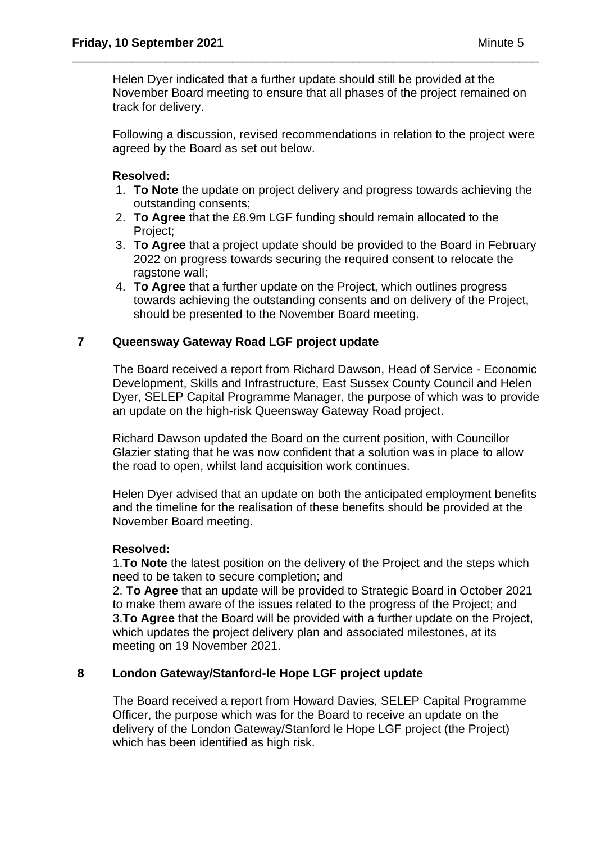Helen Dyer indicated that a further update should still be provided at the November Board meeting to ensure that all phases of the project remained on track for delivery.

\_\_\_\_\_\_\_\_\_\_\_\_\_\_\_\_\_\_\_\_\_\_\_\_\_\_\_\_\_\_\_\_\_\_\_\_\_\_\_\_\_\_\_\_\_\_\_\_\_\_\_\_\_\_\_\_\_\_\_\_\_\_\_\_\_\_\_\_\_\_

Following a discussion, revised recommendations in relation to the project were agreed by the Board as set out below.

### **Resolved:**

- 1. **To Note** the update on project delivery and progress towards achieving the outstanding consents;
- 2. **To Agree** that the £8.9m LGF funding should remain allocated to the Project;
- 3. **To Agree** that a project update should be provided to the Board in February 2022 on progress towards securing the required consent to relocate the ragstone wall;
- 4. **To Agree** that a further update on the Project, which outlines progress towards achieving the outstanding consents and on delivery of the Project, should be presented to the November Board meeting.

### **7 Queensway Gateway Road LGF project update**

The Board received a report from Richard Dawson, Head of Service - Economic Development, Skills and Infrastructure, East Sussex County Council and Helen Dyer, SELEP Capital Programme Manager, the purpose of which was to provide an update on the high-risk Queensway Gateway Road project.

Richard Dawson updated the Board on the current position, with Councillor Glazier stating that he was now confident that a solution was in place to allow the road to open, whilst land acquisition work continues.

Helen Dyer advised that an update on both the anticipated employment benefits and the timeline for the realisation of these benefits should be provided at the November Board meeting.

### **Resolved:**

1.**To Note** the latest position on the delivery of the Project and the steps which need to be taken to secure completion; and

2. **To Agree** that an update will be provided to Strategic Board in October 2021 to make them aware of the issues related to the progress of the Project; and 3.**To Agree** that the Board will be provided with a further update on the Project, which updates the project delivery plan and associated milestones, at its meeting on 19 November 2021.

### **8 London Gateway/Stanford-le Hope LGF project update**

The Board received a report from Howard Davies, SELEP Capital Programme Officer, the purpose which was for the Board to receive an update on the delivery of the London Gateway/Stanford le Hope LGF project (the Project) which has been identified as high risk.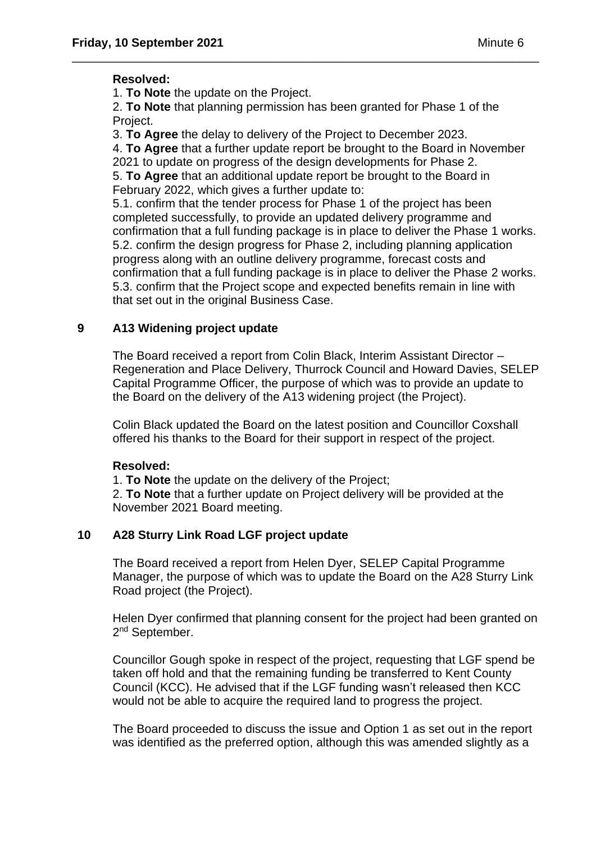### **Resolved:**

1. **To Note** the update on the Project.

2. **To Note** that planning permission has been granted for Phase 1 of the Project.

\_\_\_\_\_\_\_\_\_\_\_\_\_\_\_\_\_\_\_\_\_\_\_\_\_\_\_\_\_\_\_\_\_\_\_\_\_\_\_\_\_\_\_\_\_\_\_\_\_\_\_\_\_\_\_\_\_\_\_\_\_\_\_\_\_\_\_\_\_\_

3. **To Agree** the delay to delivery of the Project to December 2023.

4. **To Agree** that a further update report be brought to the Board in November 2021 to update on progress of the design developments for Phase 2. 5. **To Agree** that an additional update report be brought to the Board in February 2022, which gives a further update to:

5.1. confirm that the tender process for Phase 1 of the project has been completed successfully, to provide an updated delivery programme and confirmation that a full funding package is in place to deliver the Phase 1 works. 5.2. confirm the design progress for Phase 2, including planning application progress along with an outline delivery programme, forecast costs and confirmation that a full funding package is in place to deliver the Phase 2 works.

5.3. confirm that the Project scope and expected benefits remain in line with that set out in the original Business Case.

### **9 A13 Widening project update**

The Board received a report from Colin Black, Interim Assistant Director – Regeneration and Place Delivery, Thurrock Council and Howard Davies, SELEP Capital Programme Officer, the purpose of which was to provide an update to the Board on the delivery of the A13 widening project (the Project).

Colin Black updated the Board on the latest position and Councillor Coxshall offered his thanks to the Board for their support in respect of the project.

### **Resolved:**

1. **To Note** the update on the delivery of the Project;

2. **To Note** that a further update on Project delivery will be provided at the November 2021 Board meeting.

### **10 A28 Sturry Link Road LGF project update**

The Board received a report from Helen Dyer, SELEP Capital Programme Manager, the purpose of which was to update the Board on the A28 Sturry Link Road project (the Project).

Helen Dyer confirmed that planning consent for the project had been granted on 2<sup>nd</sup> September.

Councillor Gough spoke in respect of the project, requesting that LGF spend be taken off hold and that the remaining funding be transferred to Kent County Council (KCC). He advised that if the LGF funding wasn't released then KCC would not be able to acquire the required land to progress the project.

The Board proceeded to discuss the issue and Option 1 as set out in the report was identified as the preferred option, although this was amended slightly as a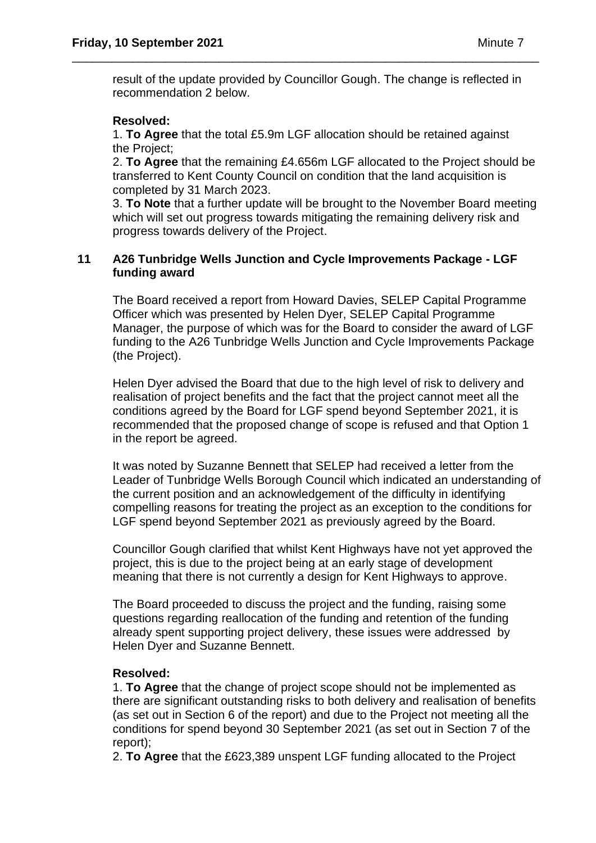result of the update provided by Councillor Gough. The change is reflected in recommendation 2 below.

\_\_\_\_\_\_\_\_\_\_\_\_\_\_\_\_\_\_\_\_\_\_\_\_\_\_\_\_\_\_\_\_\_\_\_\_\_\_\_\_\_\_\_\_\_\_\_\_\_\_\_\_\_\_\_\_\_\_\_\_\_\_\_\_\_\_\_\_\_\_

### **Resolved:**

1. **To Agree** that the total £5.9m LGF allocation should be retained against the Project;

2. **To Agree** that the remaining £4.656m LGF allocated to the Project should be transferred to Kent County Council on condition that the land acquisition is completed by 31 March 2023.

3. **To Note** that a further update will be brought to the November Board meeting which will set out progress towards mitigating the remaining delivery risk and progress towards delivery of the Project.

### **11 A26 Tunbridge Wells Junction and Cycle Improvements Package - LGF funding award**

The Board received a report from Howard Davies, SELEP Capital Programme Officer which was presented by Helen Dyer, SELEP Capital Programme Manager, the purpose of which was for the Board to consider the award of LGF funding to the A26 Tunbridge Wells Junction and Cycle Improvements Package (the Project).

Helen Dyer advised the Board that due to the high level of risk to delivery and realisation of project benefits and the fact that the project cannot meet all the conditions agreed by the Board for LGF spend beyond September 2021, it is recommended that the proposed change of scope is refused and that Option 1 in the report be agreed.

It was noted by Suzanne Bennett that SELEP had received a letter from the Leader of Tunbridge Wells Borough Council which indicated an understanding of the current position and an acknowledgement of the difficulty in identifying compelling reasons for treating the project as an exception to the conditions for LGF spend beyond September 2021 as previously agreed by the Board.

Councillor Gough clarified that whilst Kent Highways have not yet approved the project, this is due to the project being at an early stage of development meaning that there is not currently a design for Kent Highways to approve.

The Board proceeded to discuss the project and the funding, raising some questions regarding reallocation of the funding and retention of the funding already spent supporting project delivery, these issues were addressed by Helen Dyer and Suzanne Bennett.

### **Resolved:**

1. **To Agree** that the change of project scope should not be implemented as there are significant outstanding risks to both delivery and realisation of benefits (as set out in Section 6 of the report) and due to the Project not meeting all the conditions for spend beyond 30 September 2021 (as set out in Section 7 of the report);

2. **To Agree** that the £623,389 unspent LGF funding allocated to the Project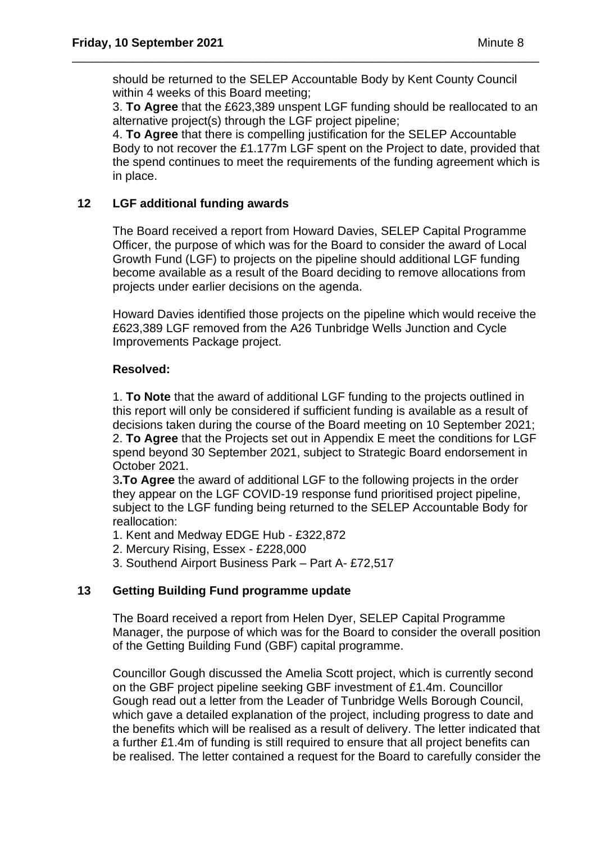should be returned to the SELEP Accountable Body by Kent County Council within 4 weeks of this Board meeting;

\_\_\_\_\_\_\_\_\_\_\_\_\_\_\_\_\_\_\_\_\_\_\_\_\_\_\_\_\_\_\_\_\_\_\_\_\_\_\_\_\_\_\_\_\_\_\_\_\_\_\_\_\_\_\_\_\_\_\_\_\_\_\_\_\_\_\_\_\_\_

3. **To Agree** that the £623,389 unspent LGF funding should be reallocated to an alternative project(s) through the LGF project pipeline;

4. **To Agree** that there is compelling justification for the SELEP Accountable Body to not recover the £1.177m LGF spent on the Project to date, provided that the spend continues to meet the requirements of the funding agreement which is in place.

### **12 LGF additional funding awards**

The Board received a report from Howard Davies, SELEP Capital Programme Officer, the purpose of which was for the Board to consider the award of Local Growth Fund (LGF) to projects on the pipeline should additional LGF funding become available as a result of the Board deciding to remove allocations from projects under earlier decisions on the agenda.

Howard Davies identified those projects on the pipeline which would receive the £623,389 LGF removed from the A26 Tunbridge Wells Junction and Cycle Improvements Package project.

### **Resolved:**

1. **To Note** that the award of additional LGF funding to the projects outlined in this report will only be considered if sufficient funding is available as a result of decisions taken during the course of the Board meeting on 10 September 2021; 2. **To Agree** that the Projects set out in Appendix E meet the conditions for LGF spend beyond 30 September 2021, subject to Strategic Board endorsement in October 2021.

3**.To Agree** the award of additional LGF to the following projects in the order they appear on the LGF COVID-19 response fund prioritised project pipeline, subject to the LGF funding being returned to the SELEP Accountable Body for reallocation:

1. Kent and Medway EDGE Hub - £322,872

- 2. Mercury Rising, Essex £228,000
- 3. Southend Airport Business Park Part A- £72,517

### **13 Getting Building Fund programme update**

The Board received a report from Helen Dyer, SELEP Capital Programme Manager, the purpose of which was for the Board to consider the overall position of the Getting Building Fund (GBF) capital programme.

Councillor Gough discussed the Amelia Scott project, which is currently second on the GBF project pipeline seeking GBF investment of £1.4m. Councillor Gough read out a letter from the Leader of Tunbridge Wells Borough Council, which gave a detailed explanation of the project, including progress to date and the benefits which will be realised as a result of delivery. The letter indicated that a further £1.4m of funding is still required to ensure that all project benefits can be realised. The letter contained a request for the Board to carefully consider the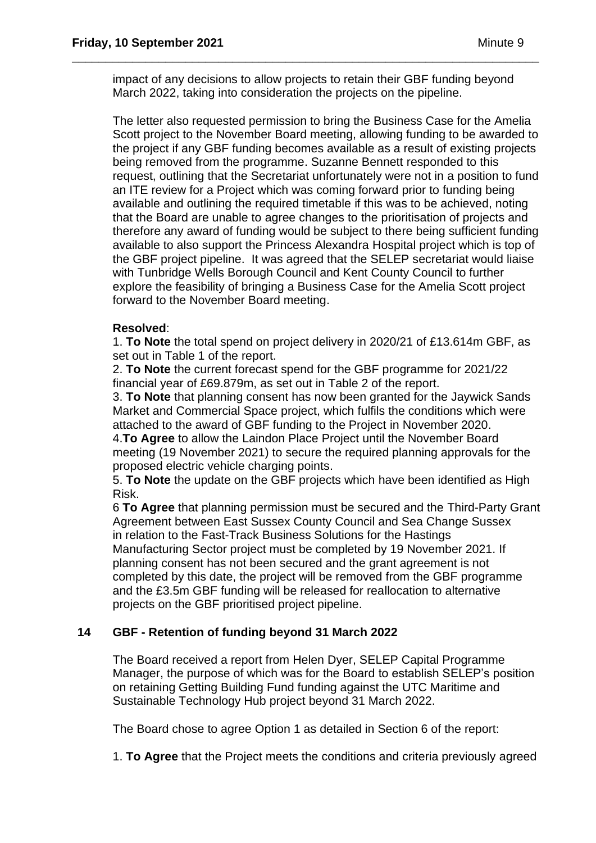impact of any decisions to allow projects to retain their GBF funding beyond March 2022, taking into consideration the projects on the pipeline.

\_\_\_\_\_\_\_\_\_\_\_\_\_\_\_\_\_\_\_\_\_\_\_\_\_\_\_\_\_\_\_\_\_\_\_\_\_\_\_\_\_\_\_\_\_\_\_\_\_\_\_\_\_\_\_\_\_\_\_\_\_\_\_\_\_\_\_\_\_\_

The letter also requested permission to bring the Business Case for the Amelia Scott project to the November Board meeting, allowing funding to be awarded to the project if any GBF funding becomes available as a result of existing projects being removed from the programme. Suzanne Bennett responded to this request, outlining that the Secretariat unfortunately were not in a position to fund an ITE review for a Project which was coming forward prior to funding being available and outlining the required timetable if this was to be achieved, noting that the Board are unable to agree changes to the prioritisation of projects and therefore any award of funding would be subject to there being sufficient funding available to also support the Princess Alexandra Hospital project which is top of the GBF project pipeline. It was agreed that the SELEP secretariat would liaise with Tunbridge Wells Borough Council and Kent County Council to further explore the feasibility of bringing a Business Case for the Amelia Scott project forward to the November Board meeting.

### **Resolved**:

1. **To Note** the total spend on project delivery in 2020/21 of £13.614m GBF, as set out in Table 1 of the report.

2. **To Note** the current forecast spend for the GBF programme for 2021/22 financial year of £69.879m, as set out in Table 2 of the report.

3. **To Note** that planning consent has now been granted for the Jaywick Sands Market and Commercial Space project, which fulfils the conditions which were attached to the award of GBF funding to the Project in November 2020.

4.**To Agree** to allow the Laindon Place Project until the November Board meeting (19 November 2021) to secure the required planning approvals for the proposed electric vehicle charging points.

5. **To Note** the update on the GBF projects which have been identified as High Risk.

6 **To Agree** that planning permission must be secured and the Third-Party Grant Agreement between East Sussex County Council and Sea Change Sussex in relation to the Fast-Track Business Solutions for the Hastings Manufacturing Sector project must be completed by 19 November 2021. If planning consent has not been secured and the grant agreement is not completed by this date, the project will be removed from the GBF programme and the £3.5m GBF funding will be released for reallocation to alternative projects on the GBF prioritised project pipeline.

## **14 GBF - Retention of funding beyond 31 March 2022**

The Board received a report from Helen Dyer, SELEP Capital Programme Manager, the purpose of which was for the Board to establish SELEP's position on retaining Getting Building Fund funding against the UTC Maritime and Sustainable Technology Hub project beyond 31 March 2022.

The Board chose to agree Option 1 as detailed in Section 6 of the report:

1. **To Agree** that the Project meets the conditions and criteria previously agreed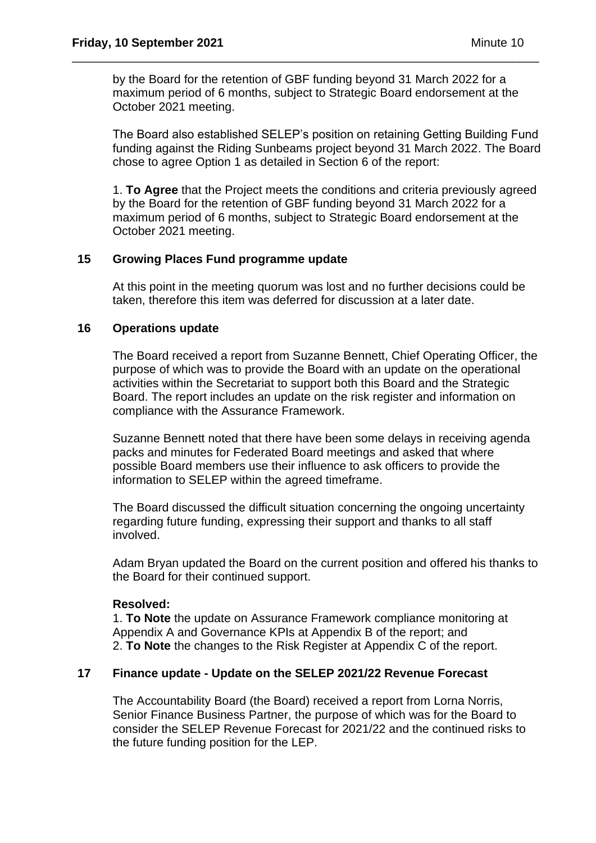by the Board for the retention of GBF funding beyond 31 March 2022 for a maximum period of 6 months, subject to Strategic Board endorsement at the October 2021 meeting.

\_\_\_\_\_\_\_\_\_\_\_\_\_\_\_\_\_\_\_\_\_\_\_\_\_\_\_\_\_\_\_\_\_\_\_\_\_\_\_\_\_\_\_\_\_\_\_\_\_\_\_\_\_\_\_\_\_\_\_\_\_\_\_\_\_\_\_\_\_\_

The Board also established SELEP's position on retaining Getting Building Fund funding against the Riding Sunbeams project beyond 31 March 2022. The Board chose to agree Option 1 as detailed in Section 6 of the report:

1. **To Agree** that the Project meets the conditions and criteria previously agreed by the Board for the retention of GBF funding beyond 31 March 2022 for a maximum period of 6 months, subject to Strategic Board endorsement at the October 2021 meeting.

### **15 Growing Places Fund programme update**

At this point in the meeting quorum was lost and no further decisions could be taken, therefore this item was deferred for discussion at a later date.

#### **16 Operations update**

The Board received a report from Suzanne Bennett, Chief Operating Officer, the purpose of which was to provide the Board with an update on the operational activities within the Secretariat to support both this Board and the Strategic Board. The report includes an update on the risk register and information on compliance with the Assurance Framework.

Suzanne Bennett noted that there have been some delays in receiving agenda packs and minutes for Federated Board meetings and asked that where possible Board members use their influence to ask officers to provide the information to SELEP within the agreed timeframe.

The Board discussed the difficult situation concerning the ongoing uncertainty regarding future funding, expressing their support and thanks to all staff involved.

Adam Bryan updated the Board on the current position and offered his thanks to the Board for their continued support.

#### **Resolved:**

1. **To Note** the update on Assurance Framework compliance monitoring at Appendix A and Governance KPIs at Appendix B of the report; and 2. **To Note** the changes to the Risk Register at Appendix C of the report.

### **17 Finance update - Update on the SELEP 2021/22 Revenue Forecast**

The Accountability Board (the Board) received a report from Lorna Norris, Senior Finance Business Partner, the purpose of which was for the Board to consider the SELEP Revenue Forecast for 2021/22 and the continued risks to the future funding position for the LEP.